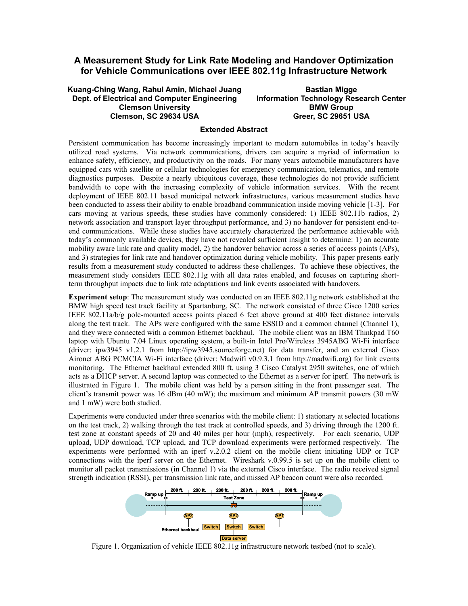## **A Measurement Study for Link Rate Modeling and Handover Optimization for Vehicle Communications over IEEE 802.11g Infrastructure Network**

**Kuang-Ching Wang, Rahul Amin, Michael Juang Dept. of Electrical and Computer Engineering Clemson University Clemson, SC 29634 USA** 

**Bastian Migge Information Technology Research Center BMW Group Greer, SC 29651 USA** 

## **Extended Abstract**

Persistent communication has become increasingly important to modern automobiles in today's heavily utilized road systems. Via network communications, drivers can acquire a myriad of information to enhance safety, efficiency, and productivity on the roads. For many years automobile manufacturers have equipped cars with satellite or cellular technologies for emergency communication, telematics, and remote diagnostics purposes. Despite a nearly ubiquitous coverage, these technologies do not provide sufficient bandwidth to cope with the increasing complexity of vehicle information services. With the recent deployment of IEEE 802.11 based municipal network infrastructures, various measurement studies have been conducted to assess their ability to enable broadband communication inside moving vehicle [1-3]. For cars moving at various speeds, these studies have commonly considered: 1) IEEE 802.11b radios, 2) network association and transport layer throughput performance, and 3) no handover for persistent end-toend communications. While these studies have accurately characterized the performance achievable with today's commonly available devices, they have not revealed sufficient insight to determine: 1) an accurate mobility aware link rate and quality model, 2) the handover behavior across a series of access points (APs), and 3) strategies for link rate and handover optimization during vehicle mobility. This paper presents early results from a measurement study conducted to address these challenges. To achieve these objectives, the measurement study considers IEEE 802.11g with all data rates enabled, and focuses on capturing shortterm throughput impacts due to link rate adaptations and link events associated with handovers.

**Experiment setup**: The measurement study was conducted on an IEEE 802.11g network established at the BMW high speed test track facility at Spartanburg, SC. The network consisted of three Cisco 1200 series IEEE 802.11a/b/g pole-mounted access points placed 6 feet above ground at 400 feet distance intervals along the test track. The APs were configured with the same ESSID and a common channel (Channel 1), and they were connected with a common Ethernet backhaul. The mobile client was an IBM Thinkpad T60 laptop with Ubuntu 7.04 Linux operating system, a built-in Intel Pro/Wireless 3945ABG Wi-Fi interface (driver: ipw3945 v1.2.1 from http://ipw3945.sourceforge.net) for data transfer, and an external Cisco Aironet ABG PCMCIA Wi-Fi interface (driver: Madwifi v0.9.3.1 from http://madwifi.org) for link events monitoring. The Ethernet backhaul extended 800 ft. using 3 Cisco Catalyst 2950 switches, one of which acts as a DHCP server. A second laptop was connected to the Ethernet as a server for iperf. The network is illustrated in Figure 1. The mobile client was held by a person sitting in the front passenger seat. The client's transmit power was 16 dBm (40 mW); the maximum and minimum AP transmit powers (30 mW and 1 mW) were both studied.

Experiments were conducted under three scenarios with the mobile client: 1) stationary at selected locations on the test track, 2) walking through the test track at controlled speeds, and 3) driving through the 1200 ft. test zone at constant speeds of 20 and 40 miles per hour (mph), respectively. For each scenario, UDP upload, UDP download, TCP upload, and TCP download experiments were performed respectively. The experiments were performed with an iperf v.2.0.2 client on the mobile client initiating UDP or TCP connections with the iperf server on the Ethernet. Wireshark v.0.99.5 is set up on the mobile client to monitor all packet transmissions (in Channel 1) via the external Cisco interface. The radio received signal strength indication (RSSI), per transmission link rate, and missed AP beacon count were also recorded.



Figure 1. Organization of vehicle IEEE 802.11g infrastructure network testbed (not to scale).